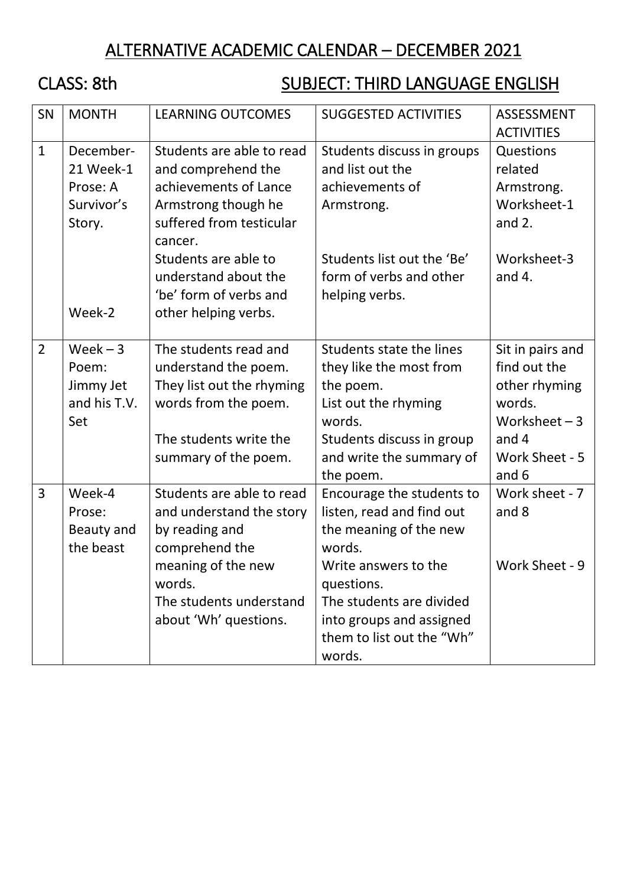## ALTERNATIVE ACADEMIC CALENDAR – DECEMBER 2021

# CLASS: 8th SUBJECT: THIRD LANGUAGE ENGLISH

| SN             | <b>MONTH</b>                                                         | <b>LEARNING OUTCOMES</b>                                                                                                                                                                                                                 | <b>SUGGESTED ACTIVITIES</b>                                                                                                                                                                                                     | <b>ASSESSMENT</b><br><b>ACTIVITIES</b>                                                                            |
|----------------|----------------------------------------------------------------------|------------------------------------------------------------------------------------------------------------------------------------------------------------------------------------------------------------------------------------------|---------------------------------------------------------------------------------------------------------------------------------------------------------------------------------------------------------------------------------|-------------------------------------------------------------------------------------------------------------------|
| $\mathbf{1}$   | December-<br>21 Week-1<br>Prose: A<br>Survivor's<br>Story.<br>Week-2 | Students are able to read<br>and comprehend the<br>achievements of Lance<br>Armstrong though he<br>suffered from testicular<br>cancer.<br>Students are able to<br>understand about the<br>'be' form of verbs and<br>other helping verbs. | Students discuss in groups<br>and list out the<br>achievements of<br>Armstrong.<br>Students list out the 'Be'<br>form of verbs and other<br>helping verbs.                                                                      | Questions<br>related<br>Armstrong.<br>Worksheet-1<br>and $2.$<br>Worksheet-3<br>and $4.$                          |
| $\overline{2}$ | $Week - 3$<br>Poem:<br>Jimmy Jet<br>and his T.V.<br>Set              | The students read and<br>understand the poem.<br>They list out the rhyming<br>words from the poem.<br>The students write the<br>summary of the poem.                                                                                     | Students state the lines<br>they like the most from<br>the poem.<br>List out the rhyming<br>words.<br>Students discuss in group<br>and write the summary of<br>the poem.                                                        | Sit in pairs and<br>find out the<br>other rhyming<br>words.<br>Worksheet $-3$<br>and 4<br>Work Sheet - 5<br>and 6 |
| 3              | Week-4<br>Prose:<br>Beauty and<br>the beast                          | Students are able to read<br>and understand the story<br>by reading and<br>comprehend the<br>meaning of the new<br>words.<br>The students understand<br>about 'Wh' questions.                                                            | Encourage the students to<br>listen, read and find out<br>the meaning of the new<br>words.<br>Write answers to the<br>questions.<br>The students are divided<br>into groups and assigned<br>them to list out the "Wh"<br>words. | Work sheet - 7<br>and 8<br>Work Sheet - 9                                                                         |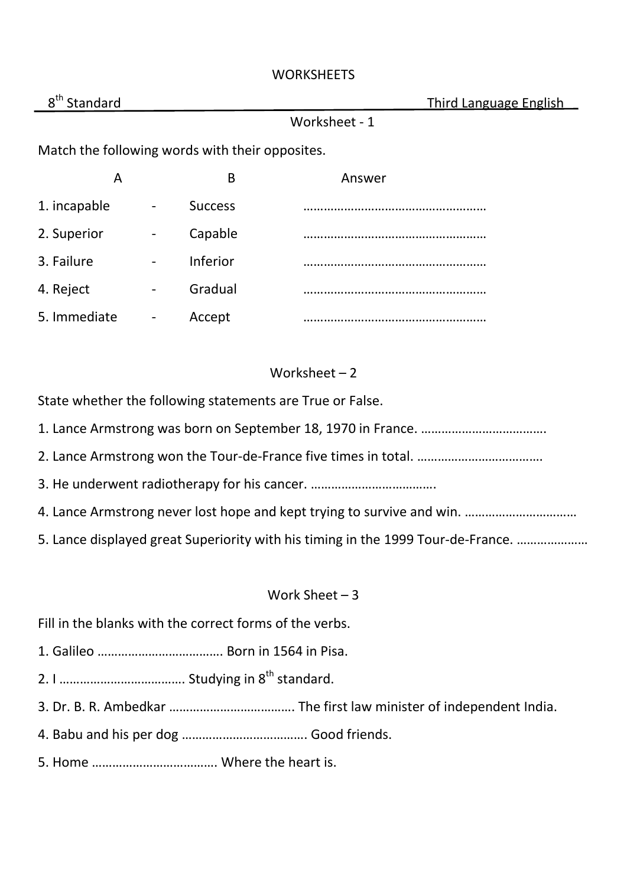#### **WORKSHEETS**

| 8 <sup>th</sup><br>Standard                     |                              |                | <b>Third Language English</b> |  |  |  |
|-------------------------------------------------|------------------------------|----------------|-------------------------------|--|--|--|
|                                                 |                              |                | Worksheet - 1                 |  |  |  |
| Match the following words with their opposites. |                              |                |                               |  |  |  |
| A                                               |                              | B              | Answer                        |  |  |  |
| 1. incapable                                    | -                            | <b>Success</b> |                               |  |  |  |
| 2. Superior                                     | $\qquad \qquad \blacksquare$ | Capable        |                               |  |  |  |
| 3. Failure                                      | $\overline{\phantom{a}}$     | Inferior       |                               |  |  |  |
| 4. Reject                                       | $\overline{\phantom{a}}$     | Gradual        |                               |  |  |  |

### Worksheet - 2

State whether the following statements are True or False.

1. Lance Armstrong was born on September 18, 1970 in France. ……………………………….

5. Immediate - Accept ………………………………………………

- 2. Lance Armstrong won the Tour-de-France five times in total. ……………………………….
- 3. He underwent radiotherapy for his cancer. ……………………………….
- 4. Lance Armstrong never lost hope and kept trying to survive and win. ……………………………
- 5. Lance displayed great Superiority with his timing in the 1999 Tour-de-France. …………………

#### Work Sheet – 3

Fill in the blanks with the correct forms of the verbs.

- 1. Galileo ………………………………. Born in 1564 in Pisa.
- 2. I ………………………………. Studying in 8th standard.
- 3. Dr. B. R. Ambedkar ………………………………. The first law minister of independent India.
- 4. Babu and his per dog ………………………………. Good friends.
- 5. Home ………………………………. Where the heart is.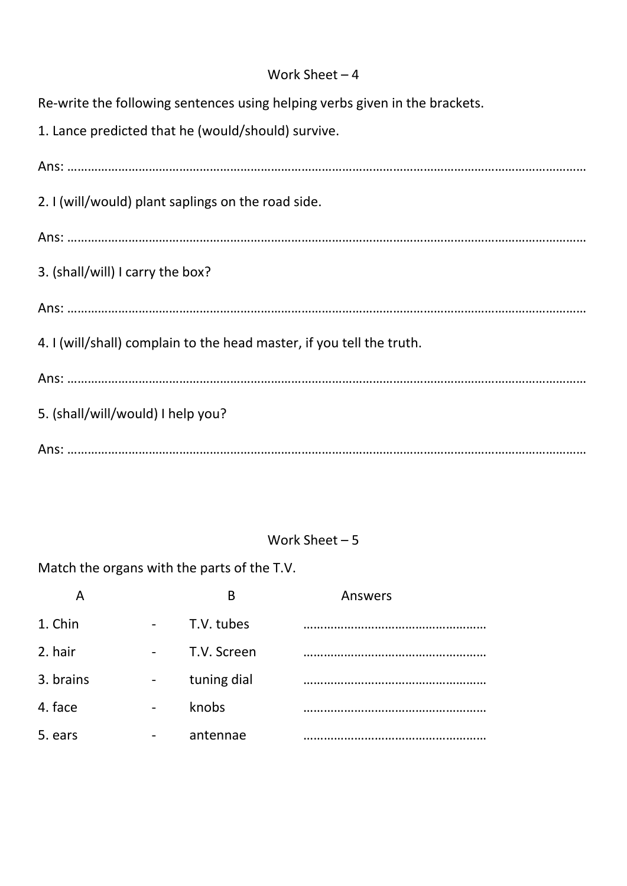#### Work Sheet – 4

Re-write the following sentences using helping verbs given in the brackets.

1. Lance predicted that he (would/should) survive.

Ans: ……………………………………………………………………………………………………………………………………… 2. I (will/would) plant saplings on the road side. Ans: ……………………………………………………………………………………………………………………………………… 3. (shall/will) I carry the box? Ans: ……………………………………………………………………………………………………………………………………… 4. I (will/shall) complain to the head master, if you tell the truth. Ans: ……………………………………………………………………………………………………………………………………… 5. (shall/will/would) I help you? Ans: ………………………………………………………………………………………………………………………………………

#### Work Sheet – 5

Match the organs with the parts of the T.V.

|           | B           | Answers |
|-----------|-------------|---------|
| 1. Chin   | T.V. tubes  |         |
| 2. hair   | T.V. Screen |         |
| 3. brains | tuning dial |         |
| 4. face   | knobs       |         |
| 5. ears   | antennae    |         |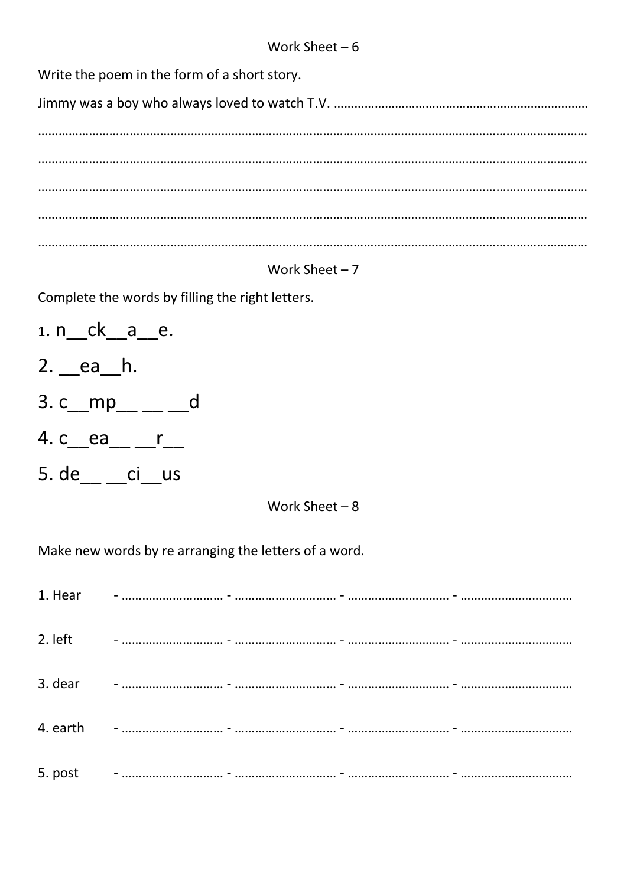Write the poem in the form of a short story.

### Work Sheet  $-7$

Complete the words by filling the right letters.

- 1. n ck \_\_ a \_\_ e. 2. ea h. 3. c\_mp\_ \_ \_ \_ \_ d
- 4. c\_\_ea\_\_ \_\_r\_\_
- 5. de \_\_ \_\_ ci\_\_us

Work Sheet  $-8$ 

Make new words by re arranging the letters of a word.